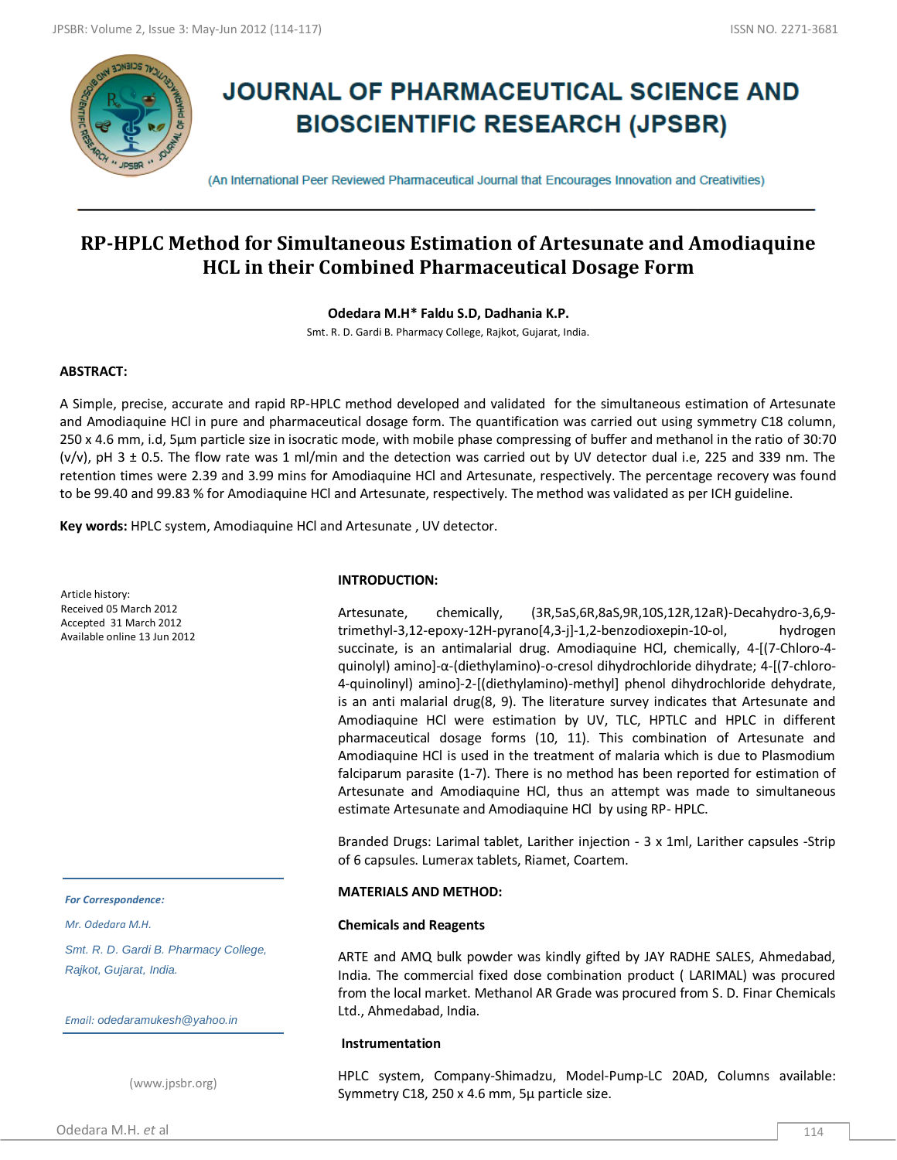

# **JOURNAL OF PHARMACEUTICAL SCIENCE AND BIOSCIENTIFIC RESEARCH (JPSBR)**

(An International Peer Reviewed Pharmaceutical Journal that Encourages Innovation and Creativities)

## **RP-HPLC Method for Simultaneous Estimation of Artesunate and Amodiaquine HCL in their Combined Pharmaceutical Dosage Form**

**Odedara M.H\* Faldu S.D, Dadhania K.P.**

Smt. R. D. Gardi B. Pharmacy College, Rajkot, Gujarat, India.

## **ABSTRACT:**

A Simple, precise, accurate and rapid RP-HPLC method developed and validated for the simultaneous estimation of Artesunate and Amodiaquine HCl in pure and pharmaceutical dosage form. The quantification was carried out using symmetry C18 column, 250 x 4.6 mm, i.d, 5μm particle size in isocratic mode, with mobile phase compressing of buffer and methanol in the ratio of 30:70 (v/v), pH 3 ± 0.5. The flow rate was 1 ml/min and the detection was carried out by UV detector dual i.e, 225 and 339 nm. The retention times were 2.39 and 3.99 mins for Amodiaquine HCl and Artesunate, respectively. The percentage recovery was found to be 99.40 and 99.83 % for Amodiaquine HCl and Artesunate, respectively. The method was validated as per ICH guideline.

**Key words:** HPLC system, Amodiaquine HCl and Artesunate , UV detector.

Article history: Received 05 March 2012 Accepted 31 March 2012 Available online 13 Jun 2012

#### *For Correspondence:*

*Mr. Odedara M.H.*

*Smt. R. D. Gardi B. Pharmacy College, Rajkot, Gujarat, India.*

*Email: odedaramukesh@yahoo.in*

(www.jpsbr.org)

### **INTRODUCTION:**

Artesunate, chemically, (3R,5aS,6R,8aS,9R,10S,12R,12aR)-Decahydro-3,6,9 trimethyl-3,12-epoxy-12H-pyrano[4,3-j]-1,2-benzodioxepin-10-ol, hydrogen succinate, is an antimalarial drug. Amodiaquine HCl, chemically, 4-[(7-Chloro-4 quinolyl) amino]-α-(diethylamino)-o-cresol dihydrochloride dihydrate; 4-[(7-chloro-4-quinolinyl) amino]-2-[(diethylamino)-methyl] phenol dihydrochloride dehydrate, is an anti malarial drug(8, 9). The literature survey indicates that Artesunate and Amodiaquine HCl were estimation by UV, TLC, HPTLC and HPLC in different pharmaceutical dosage forms (10, 11). This combination of Artesunate and Amodiaquine HCl is used in the treatment of malaria which is due to Plasmodium falciparum parasite (1-7). There is no method has been reported for estimation of Artesunate and Amodiaquine HCl, thus an attempt was made to simultaneous estimate Artesunate and Amodiaquine HCl by using RP- HPLC.

Branded Drugs: Larimal tablet, Larither injection ‐ 3 x 1ml, Larither capsules ‐Strip of 6 capsules. Lumerax tablets, Riamet, Coartem.

#### **MATERIALS AND METHOD:**

#### **Chemicals and Reagents**

ARTE and AMQ bulk powder was kindly gifted by JAY RADHE SALES, Ahmedabad, India. The commercial fixed dose combination product ( LARIMAL) was procured from the local market. Methanol AR Grade was procured from S. D. Finar Chemicals Ltd., Ahmedabad, India.

#### **Instrumentation**

HPLC system, Company-Shimadzu, Model-Pump-LC 20AD, Columns available: Symmetry C18, 250 x 4.6 mm, 5μ particle size.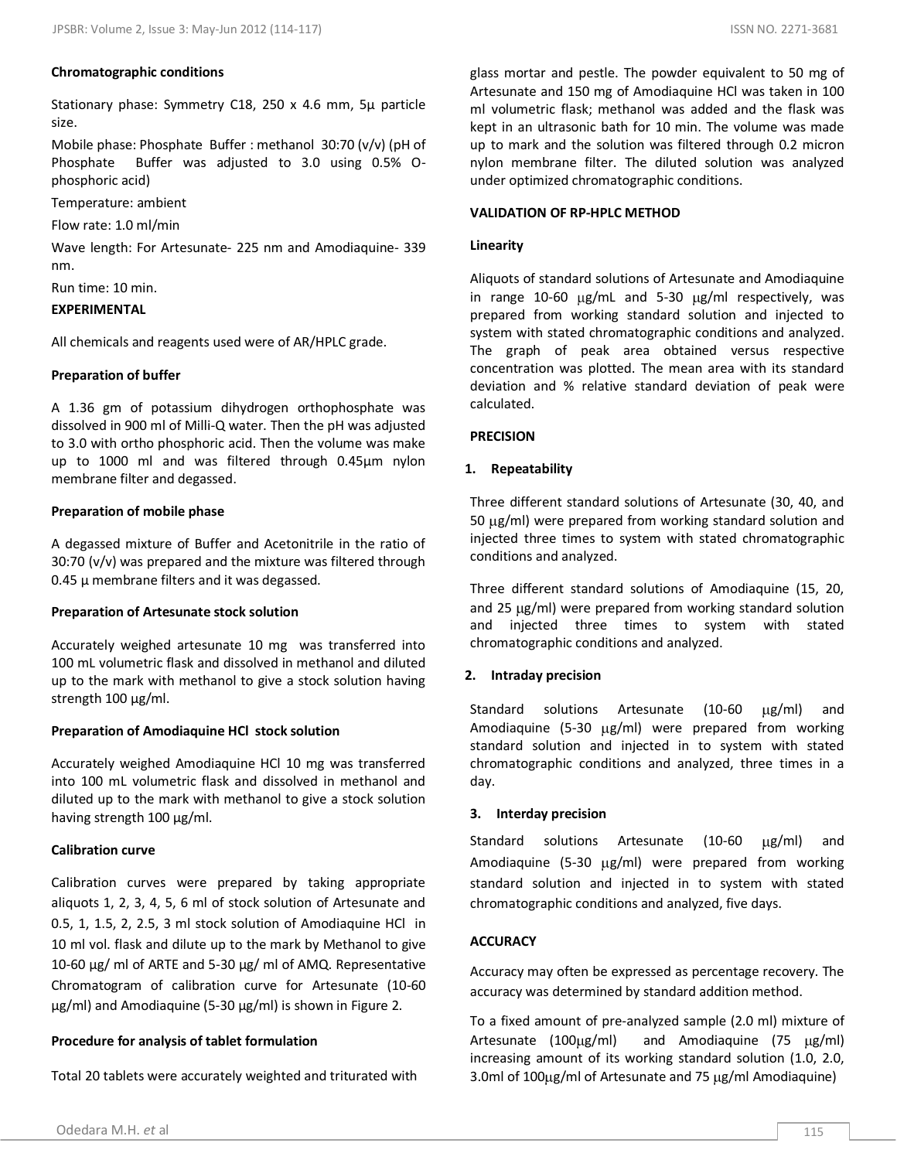#### **Chromatographic conditions**

Stationary phase: Symmetry C18, 250 x 4.6 mm, 5μ particle size.

Mobile phase: Phosphate Buffer : methanol 30:70 (v/v) (pH of Phosphate Buffer was adjusted to 3.0 using 0.5% Ophosphoric acid)

Temperature: ambient

Flow rate: 1.0 ml/min

Wave length: For Artesunate- 225 nm and Amodiaquine- 339 nm.

Run time: 10 min.

## **EXPERIMENTAL**

All chemicals and reagents used were of AR/HPLC grade.

## **Preparation of buffer**

A 1.36 gm of potassium dihydrogen orthophosphate was dissolved in 900 ml of Milli‐Q water. Then the pH was adjusted to 3.0 with ortho phosphoric acid. Then the volume was make up to 1000 ml and was filtered through 0.45μm nylon membrane filter and degassed.

## **Preparation of mobile phase**

A degassed mixture of Buffer and Acetonitrile in the ratio of 30:70 (v/v) was prepared and the mixture was filtered through  $0.45$   $\mu$  membrane filters and it was degassed.

## **Preparation of Artesunate stock solution**

Accurately weighed artesunate 10 mg was transferred into 100 mL volumetric flask and dissolved in methanol and diluted up to the mark with methanol to give a stock solution having strength 100 µg/ml.

## **Preparation of Amodiaquine HCl stock solution**

Accurately weighed Amodiaquine HCl 10 mg was transferred into 100 mL volumetric flask and dissolved in methanol and diluted up to the mark with methanol to give a stock solution having strength 100 µg/ml.

## **Calibration curve**

Calibration curves were prepared by taking appropriate aliquots 1, 2, 3, 4, 5, 6 ml of stock solution of Artesunate and 0.5, 1, 1.5, 2, 2.5, 3 ml stock solution of Amodiaquine HCl in 10 ml vol. flask and dilute up to the mark by Methanol to give 10-60 µg/ ml of ARTE and 5-30 µg/ ml of AMQ. Representative Chromatogram of calibration curve for Artesunate (10-60 µg/ml) and Amodiaquine (5-30 µg/ml) is shown in Figure 2.

## **Procedure for analysis of tablet formulation**

Total 20 tablets were accurately weighted and triturated with

glass mortar and pestle. The powder equivalent to 50 mg of Artesunate and 150 mg of Amodiaquine HCl was taken in 100 ml volumetric flask; methanol was added and the flask was kept in an ultrasonic bath for 10 min. The volume was made up to mark and the solution was filtered through 0.2 micron nylon membrane filter. The diluted solution was analyzed under optimized chromatographic conditions.

## **VALIDATION OF RP-HPLC METHOD**

## **Linearity**

Aliquots of standard solutions of Artesunate and Amodiaquine in range 10-60  $\mu$ g/mL and 5-30  $\mu$ g/ml respectively, was prepared from working standard solution and injected to system with stated chromatographic conditions and analyzed. The graph of peak area obtained versus respective concentration was plotted. The mean area with its standard deviation and % relative standard deviation of peak were calculated.

#### **PRECISION**

#### **1. Repeatability**

Three different standard solutions of Artesunate (30, 40, and 50  $\mu$ g/ml) were prepared from working standard solution and injected three times to system with stated chromatographic conditions and analyzed.

Three different standard solutions of Amodiaquine (15, 20, and 25  $\mu$ g/ml) were prepared from working standard solution and injected three times to system with stated chromatographic conditions and analyzed.

#### **2. Intraday precision**

Standard solutions Artesunate (10-60  $\mu$ g/ml) and Amodiaquine (5-30  $\mu$ g/ml) were prepared from working standard solution and injected in to system with stated chromatographic conditions and analyzed, three times in a day.

#### **3. Interday precision**

Standard solutions Artesunate (10-60  $\mu$ g/ml) and Amodiaquine (5-30  $\mu$ g/ml) were prepared from working standard solution and injected in to system with stated chromatographic conditions and analyzed, five days.

## **ACCURACY**

Accuracy may often be expressed as percentage recovery. The accuracy was determined by standard addition method.

To a fixed amount of pre-analyzed sample (2.0 ml) mixture of Artesunate  $(100 \mu g/ml)$  and Amodiaquine  $(75 \mu g/ml)$ increasing amount of its working standard solution (1.0, 2.0, 3.0ml of 100 µg/ml of Artesunate and 75 µg/ml Amodiaquine)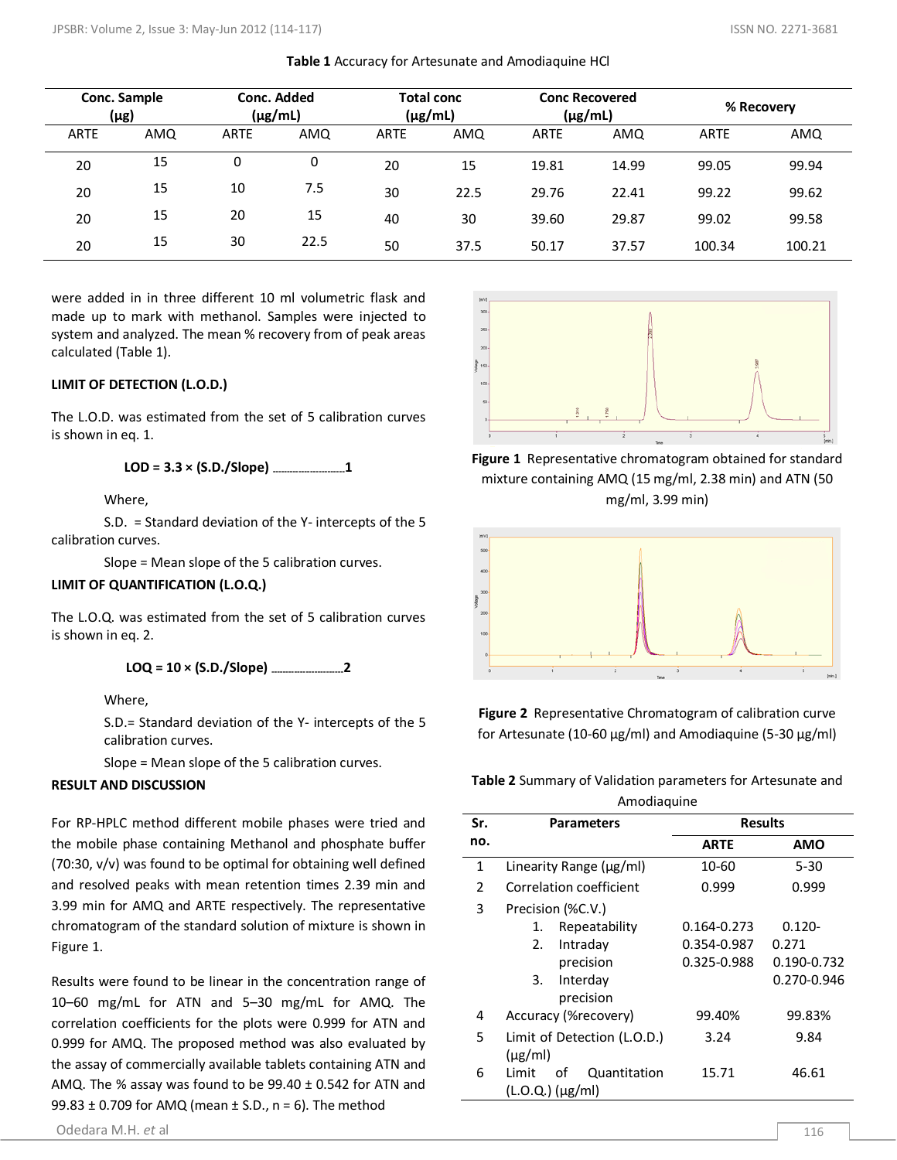| Conc. Sample<br>(µg) |     | Conc. Added<br>$(\mu g/mL)$ |      | <b>Total conc</b><br>$(\mu g/mL)$ |      | <b>Conc Recovered</b><br>$(\mu g/mL)$ |       | % Recovery  |        |
|----------------------|-----|-----------------------------|------|-----------------------------------|------|---------------------------------------|-------|-------------|--------|
| <b>ARTE</b>          | AMQ | <b>ARTE</b>                 | AMQ  | <b>ARTE</b>                       | AMQ  | <b>ARTE</b>                           | AMQ   | <b>ARTE</b> | AMQ    |
| 20                   | 15  | 0                           | 0    | 20                                | 15   | 19.81                                 | 14.99 | 99.05       | 99.94  |
| 20                   | 15  | 10                          | 7.5  | 30                                | 22.5 | 29.76                                 | 22.41 | 99.22       | 99.62  |
| 20                   | 15  | 20                          | 15   | 40                                | 30   | 39.60                                 | 29.87 | 99.02       | 99.58  |
| 20                   | 15  | 30                          | 22.5 | 50                                | 37.5 | 50.17                                 | 37.57 | 100.34      | 100.21 |

**Table 1** Accuracy for Artesunate and Amodiaquine HCl

were added in in three different 10 ml volumetric flask and made up to mark with methanol. Samples were injected to system and analyzed. The mean % recovery from of peak areas calculated (Table 1).

### **LIMIT OF DETECTION (L.O.D.)**

The L.O.D. was estimated from the set of 5 calibration curves is shown in eq. 1.

$$
LOD = 3.3 \times (S.D./Slope)
$$

Where,

S.D. = Standard deviation of the Y- intercepts of the 5 calibration curves.

Slope = Mean slope of the 5 calibration curves.

## **LIMIT OF QUANTIFICATION (L.O.Q.)**

The L.O.Q. was estimated from the set of 5 calibration curves is shown in eq. 2.

**LOQ = 10 × (S.D./Slope) -------------------------2**

Where,

S.D.= Standard deviation of the Y- intercepts of the 5 calibration curves.

Slope = Mean slope of the 5 calibration curves.

#### **RESULT AND DISCUSSION**

For RP-HPLC method different mobile phases were tried and the mobile phase containing Methanol and phosphate buffer (70:30, v/v) was found to be optimal for obtaining well defined and resolved peaks with mean retention times 2.39 min and 3.99 min for AMQ and ARTE respectively. The representative chromatogram of the standard solution of mixture is shown in Figure 1.

Results were found to be linear in the concentration range of 10–60 mg/mL for ATN and 5–30 mg/mL for AMQ. The correlation coefficients for the plots were 0.999 for ATN and 0.999 for AMQ. The proposed method was also evaluated by the assay of commercially available tablets containing ATN and AMQ. The % assay was found to be  $99.40 \pm 0.542$  for ATN and 99.83  $\pm$  0.709 for AMQ (mean  $\pm$  S.D., n = 6). The method





**Figure 1** Representative chromatogram obtained for standard mixture containing AMQ (15 mg/ml, 2.38 min) and ATN (50 mg/ml, 3.99 min)



**Figure 2** Representative Chromatogram of calibration curve for Artesunate (10-60  $\mu$ g/ml) and Amodiaquine (5-30  $\mu$ g/ml)

**Table 2** Summary of Validation parameters for Artesunate and Amodiaquine

| Sr.            | <b>Parameters</b>            | <b>Results</b> |             |  |  |  |  |  |  |
|----------------|------------------------------|----------------|-------------|--|--|--|--|--|--|
| no.            |                              | <b>ARTE</b>    | <b>AMO</b>  |  |  |  |  |  |  |
| 1              | Linearity Range $(\mu g/ml)$ | 10-60          | $5 - 30$    |  |  |  |  |  |  |
| $\overline{2}$ | Correlation coefficient      | 0.999          | 0.999       |  |  |  |  |  |  |
| 3              | Precision (%C.V.)            |                |             |  |  |  |  |  |  |
|                | Repeatability<br>1.          | 0.164-0.273    | $0.120 -$   |  |  |  |  |  |  |
|                | Intraday<br>2.               | 0.354-0.987    | 0.271       |  |  |  |  |  |  |
|                | precision                    | 0.325-0.988    | 0.190-0.732 |  |  |  |  |  |  |
|                | Interday<br>3.               |                | 0.270-0.946 |  |  |  |  |  |  |
|                | precision                    |                |             |  |  |  |  |  |  |
| 4              | Accuracy (%recovery)         | 99.40%         | 99.83%      |  |  |  |  |  |  |
| 5              | Limit of Detection (L.O.D.)  | 3.24           | 9.84        |  |  |  |  |  |  |
|                | $(\mu$ g/ml)                 |                |             |  |  |  |  |  |  |
| 6              | οf<br>Quantitation<br>Limit  | 15.71          | 46.61       |  |  |  |  |  |  |
|                | (L.O.Q.) (μg/ml)             |                |             |  |  |  |  |  |  |